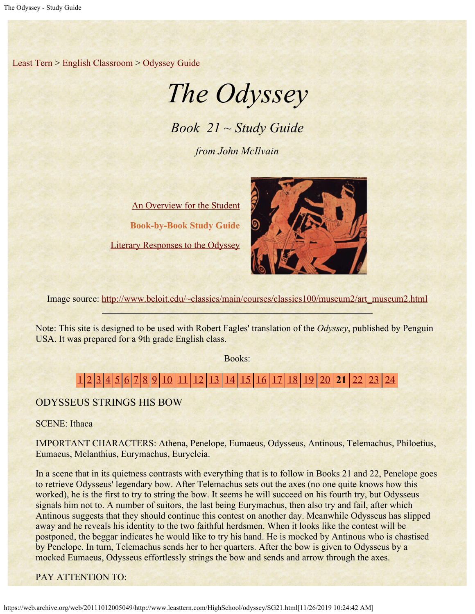[Least Tern](https://web.archive.org/web/20111012005049/http://www.leasttern.com/index.html) > [English Classroom](https://web.archive.org/web/20111012005049/http://www.leasttern.com/Engclass.html) > [Odyssey Guide](https://web.archive.org/web/20111012005049/http://www.leasttern.com/HighSchool/odyssey/Odyssey.html)

# *The Odyssey*

*Book 21 ~ Study Guide*

*from John McIlvain*

[An Overview for the Student](https://web.archive.org/web/20111012005049/http://www.leasttern.com/HighSchool/odyssey/Odyssey1.html) **Book-by-Book Study Guide** [Literary Responses to the Odyssey](https://web.archive.org/web/20111012005049/http://www.leasttern.com/HighSchool/odyssey/Odysseyresponses.html)



Image source: [http://www.beloit.edu/~classics/main/courses/classics100/museum2/art\\_museum2.html](https://web.archive.org/web/20111012005049/http://www.beloit.edu/%7Eclassics/main/courses/classics100/museum2/art_museum2.html)

Note: This site is designed to be used with Robert Fagles' translation of the *Odyssey*, published by Penguin USA. It was prepared for a 9th grade English class.

Books:

# [1](https://web.archive.org/web/20111012005049/http://www.leasttern.com/HighSchool/odyssey/SG1.html) [2](https://web.archive.org/web/20111012005049/http://www.leasttern.com/HighSchool/odyssey/SG2.html) [3](https://web.archive.org/web/20111012005049/http://www.leasttern.com/HighSchool/odyssey/SG3.html) [4](https://web.archive.org/web/20111012005049/http://www.leasttern.com/HighSchool/odyssey/SG4.html) [5](https://web.archive.org/web/20111012005049/http://www.leasttern.com/HighSchool/odyssey/SG5.html) [6](https://web.archive.org/web/20111012005049/http://www.leasttern.com/HighSchool/odyssey/SG6.html) [7](https://web.archive.org/web/20111012005049/http://www.leasttern.com/HighSchool/odyssey/SG7.html) [8](https://web.archive.org/web/20111012005049/http://www.leasttern.com/HighSchool/odyssey/SG8.html) [9](https://web.archive.org/web/20111012005049/http://www.leasttern.com/HighSchool/odyssey/SG9.html) [10](https://web.archive.org/web/20111012005049/http://www.leasttern.com/HighSchool/odyssey/SG10.html) [11](https://web.archive.org/web/20111012005049/http://www.leasttern.com/HighSchool/odyssey/SG11.html) [12](https://web.archive.org/web/20111012005049/http://www.leasttern.com/HighSchool/odyssey/SG12.html) [13](https://web.archive.org/web/20111012005049/http://www.leasttern.com/HighSchool/odyssey/SG13.html) [14](https://web.archive.org/web/20111012005049/http://www.leasttern.com/HighSchool/odyssey/SG14.html) [15](https://web.archive.org/web/20111012005049/http://www.leasttern.com/HighSchool/odyssey/SG15.html) [16](https://web.archive.org/web/20111012005049/http://www.leasttern.com/HighSchool/odyssey/SG16.html) [17](https://web.archive.org/web/20111012005049/http://www.leasttern.com/HighSchool/odyssey/SG17.html) [18](https://web.archive.org/web/20111012005049/http://www.leasttern.com/HighSchool/odyssey/SG18.html) [19](https://web.archive.org/web/20111012005049/http://www.leasttern.com/HighSchool/odyssey/SG19.html) [20](https://web.archive.org/web/20111012005049/http://www.leasttern.com/HighSchool/odyssey/SG20.html) **21** [22](https://web.archive.org/web/20111012005049/http://www.leasttern.com/HighSchool/odyssey/SG22.html) [23](https://web.archive.org/web/20111012005049/http://www.leasttern.com/HighSchool/odyssey/SG23.html) [24](https://web.archive.org/web/20111012005049/http://www.leasttern.com/HighSchool/odyssey/SG24.html)

## ODYSSEUS STRINGS HIS BOW

SCENE: Ithaca

IMPORTANT CHARACTERS: Athena, Penelope, Eumaeus, Odysseus, Antinous, Telemachus, Philoetius, Eumaeus, Melanthius, Eurymachus, Eurycleia.

In a scene that in its quietness contrasts with everything that is to follow in Books 21 and 22, Penelope goes to retrieve Odysseus' legendary bow. After Telemachus sets out the axes (no one quite knows how this worked), he is the first to try to string the bow. It seems he will succeed on his fourth try, but Odysseus signals him not to. A number of suitors, the last being Eurymachus, then also try and fail, after which Antinous suggests that they should continue this contest on another day. Meanwhile Odysseus has slipped away and he reveals his identity to the two faithful herdsmen. When it looks like the contest will be postponed, the beggar indicates he would like to try his hand. He is mocked by Antinous who is chastised by Penelope. In turn, Telemachus sends her to her quarters. After the bow is given to Odysseus by a mocked Eumaeus, Odysseus effortlessly strings the bow and sends and arrow through the axes.

PAY ATTENTION TO:

https://web.archive.org/web/20111012005049/http://www.leasttern.com/HighSchool/odyssey/SG21.html[11/26/2019 10:24:42 AM]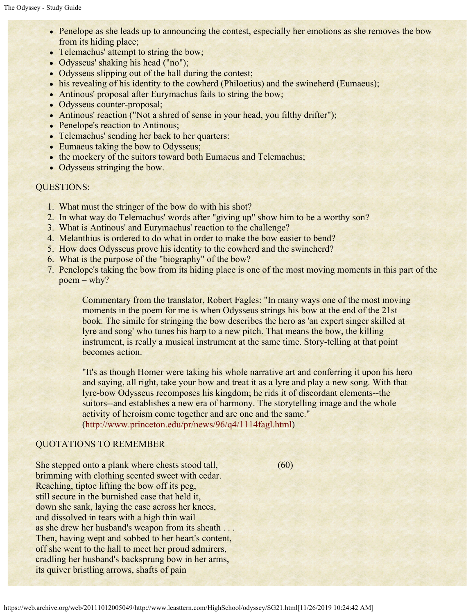- Penelope as she leads up to announcing the contest, especially her emotions as she removes the bow from its hiding place;
- Telemachus' attempt to string the bow;
- Odysseus' shaking his head ("no");
- Odysseus slipping out of the hall during the contest;
- his revealing of his identity to the cowherd (Philoetius) and the swineherd (Eumaeus);
- Antinous' proposal after Eurymachus fails to string the bow;
- Odysseus counter-proposal;
- Antinous' reaction ("Not a shred of sense in your head, you filthy drifter");
- Penelope's reaction to Antinous;
- Telemachus' sending her back to her quarters:
- Eumaeus taking the bow to Odysseus;
- the mockery of the suitors toward both Eumaeus and Telemachus;
- Odysseus stringing the bow.

### QUESTIONS:

- 1. What must the stringer of the bow do with his shot?
- 2. In what way do Telemachus' words after "giving up" show him to be a worthy son?
- 3. What is Antinous' and Eurymachus' reaction to the challenge?
- 4. Melanthius is ordered to do what in order to make the bow easier to bend?
- 5. How does Odysseus prove his identity to the cowherd and the swineherd?
- 6. What is the purpose of the "biography" of the bow?
- 7. Penelope's taking the bow from its hiding place is one of the most moving moments in this part of the poem – why?

Commentary from the translator, Robert Fagles: "In many ways one of the most moving moments in the poem for me is when Odysseus strings his bow at the end of the 21st book. The simile for stringing the bow describes the hero as 'an expert singer skilled at lyre and song' who tunes his harp to a new pitch. That means the bow, the killing instrument, is really a musical instrument at the same time. Story-telling at that point becomes action.

"It's as though Homer were taking his whole narrative art and conferring it upon his hero and saying, all right, take your bow and treat it as a lyre and play a new song. With that lyre-bow Odysseus recomposes his kingdom; he rids it of discordant elements--the suitors--and establishes a new era of harmony. The storytelling image and the whole activity of heroism come together and are one and the same." ([http://www.princeton.edu/pr/news/96/q4/1114fagl.html](https://web.archive.org/web/20111012005049/http://www.princeton.edu/pr/news/96/q4/1114fagl.html))

#### QUOTATIONS TO REMEMBER

She stepped onto a plank where chests stood tall, (60) brimming with clothing scented sweet with cedar. Reaching, tiptoe lifting the bow off its peg, still secure in the burnished case that held it, down she sank, laying the case across her knees, and dissolved in tears with a high thin wail as she drew her husband's weapon from its sheath . . . Then, having wept and sobbed to her heart's content, off she went to the hall to meet her proud admirers, cradling her husband's backsprung bow in her arms, its quiver bristling arrows, shafts of pain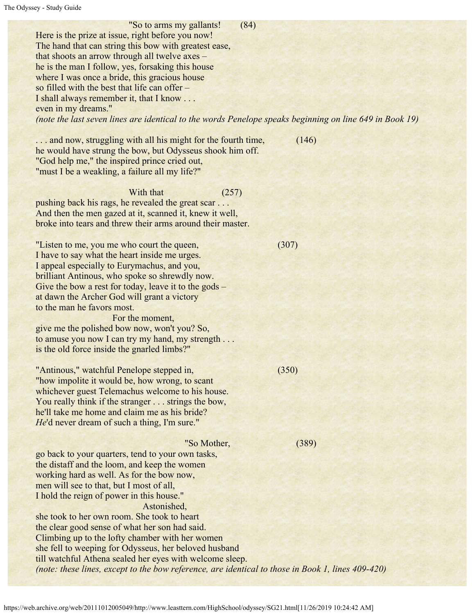"So to arms my gallants! (84) Here is the prize at issue, right before you now! The hand that can string this bow with greatest ease, that shoots an arrow through all twelve axes – he is the man I follow, yes, forsaking this house where I was once a bride, this gracious house so filled with the best that life can offer – I shall always remember it, that I know . . . even in my dreams." *(note the last seven lines are identical to the words Penelope speaks beginning on line 649 in Book 19)*

... and now, struggling with all his might for the fourth time, (146) he would have strung the bow, but Odysseus shook him off. "God help me," the inspired prince cried out, "must I be a weakling, a failure all my life?"

With that (257) pushing back his rags, he revealed the great scar . . . And then the men gazed at it, scanned it, knew it well, broke into tears and threw their arms around their master.

"Listen to me, you me who court the queen, (307) I have to say what the heart inside me urges. I appeal especially to Eurymachus, and you, brilliant Antinous, who spoke so shrewdly now. Give the bow a rest for today, leave it to the gods – at dawn the Archer God will grant a victory to the man he favors most.

 For the moment, give me the polished bow now, won't you? So, to amuse you now I can try my hand, my strength . . . is the old force inside the gnarled limbs?"

"Antinous," watchful Penelope stepped in, (350) "how impolite it would be, how wrong, to scant whichever guest Telemachus welcome to his house. You really think if the stranger . . . strings the bow, he'll take me home and claim me as his bride? *He*'d never dream of such a thing, I'm sure."

 "So Mother, (389) go back to your quarters, tend to your own tasks, the distaff and the loom, and keep the women working hard as well. As for the bow now, men will see to that, but I most of all, I hold the reign of power in this house." Astonished, she took to her own room. She took to heart the clear good sense of what her son had said. Climbing up to the lofty chamber with her women she fell to weeping for Odysseus, her beloved husband till watchful Athena sealed her eyes with welcome sleep. *(note: these lines, except to the bow reference, are identical to those in Book 1, lines 409-420)*

https://web.archive.org/web/20111012005049/http://www.leasttern.com/HighSchool/odyssey/SG21.html[11/26/2019 10:24:42 AM]